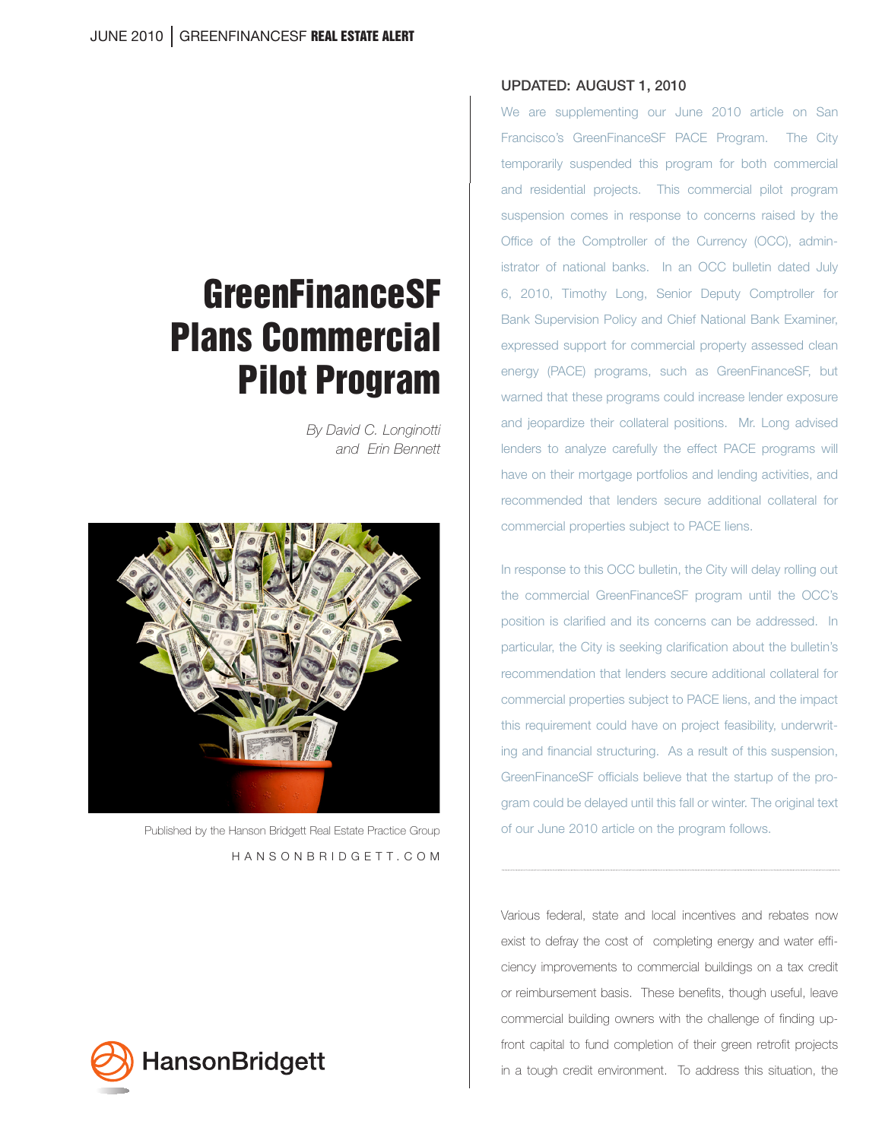# **GreenFinanceSF** Plans Commercial Pilot Program

*By David C. Longinotti and Erin Bennett*



 Published by the Hanson Bridgett Real Estate Practice Group HANSONBRIDGETT.COM



#### UPDATED: AUGUST 1, 2010

We are supplementing our June 2010 article on San Francisco's GreenFinanceSF PACE Program. The City temporarily suspended this program for both commercial and residential projects. This commercial pilot program suspension comes in response to concerns raised by the Office of the Comptroller of the Currency (OCC), administrator of national banks. In an OCC bulletin dated July 6, 2010, Timothy Long, Senior Deputy Comptroller for Bank Supervision Policy and Chief National Bank Examiner, expressed support for commercial property assessed clean energy (PACE) programs, such as GreenFinanceSF, but warned that these programs could increase lender exposure and jeopardize their collateral positions. Mr. Long advised lenders to analyze carefully the effect PACE programs will have on their mortgage portfolios and lending activities, and recommended that lenders secure additional collateral for commercial properties subject to PACE liens.

In response to this OCC bulletin, the City will delay rolling out the commercial GreenFinanceSF program until the OCC's position is clarified and its concerns can be addressed. In particular, the City is seeking clarification about the bulletin's recommendation that lenders secure additional collateral for commercial properties subject to PACE liens, and the impact this requirement could have on project feasibility, underwriting and financial structuring. As a result of this suspension, GreenFinanceSF officials believe that the startup of the program could be delayed until this fall or winter. The original text of our June 2010 article on the program follows.

Various federal, state and local incentives and rebates now exist to defray the cost of completing energy and water efficiency improvements to commercial buildings on a tax credit or reimbursement basis. These benefits, though useful, leave commercial building owners with the challenge of finding upfront capital to fund completion of their green retrofit projects in a tough credit environment. To address this situation, the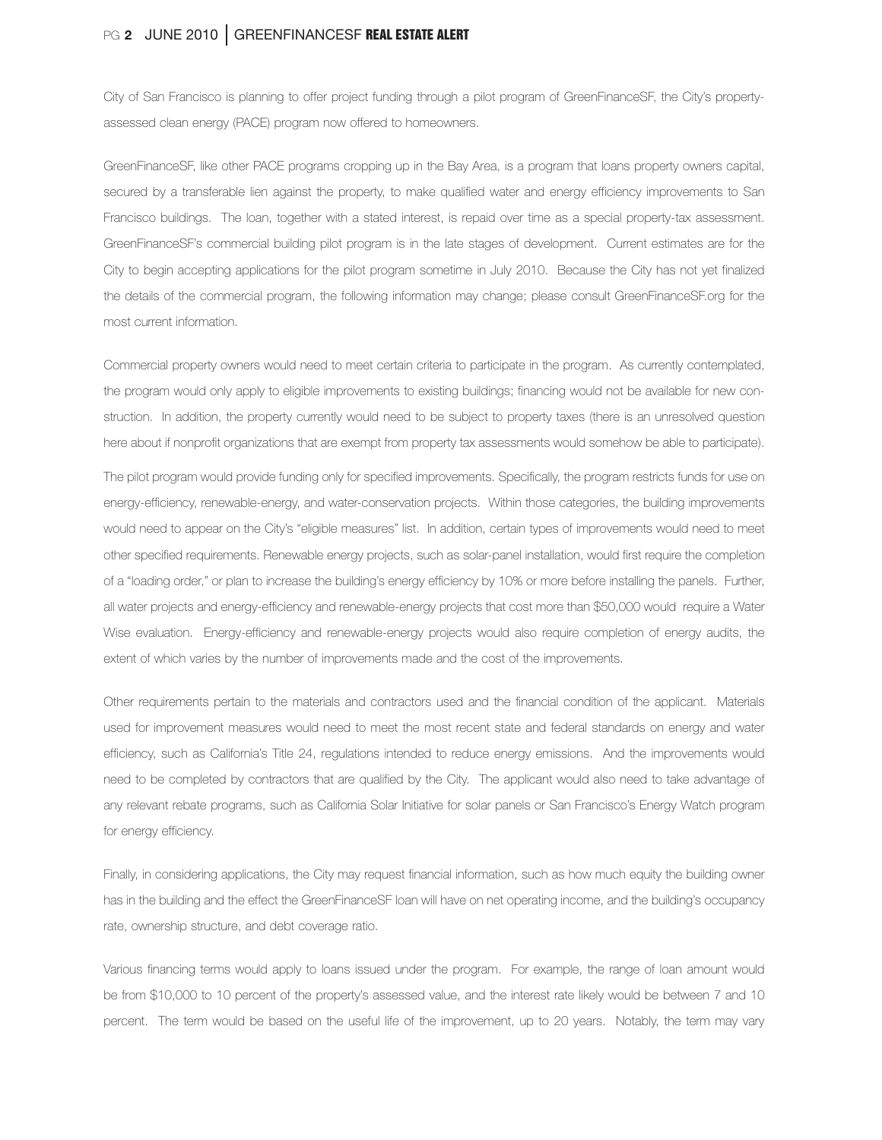# PG 2 JUNE 2010 GREENFINANCESF REAL ESTATE ALERT

City of San Francisco is planning to offer project funding through a pilot program of GreenFinanceSF, the City's propertyassessed clean energy (PACE) program now offered to homeowners.

GreenFinanceSF, like other PACE programs cropping up in the Bay Area, is a program that loans property owners capital, secured by a transferable lien against the property, to make qualified water and energy efficiency improvements to San Francisco buildings. The loan, together with a stated interest, is repaid over time as a special property-tax assessment. GreenFinanceSF's commercial building pilot program is in the late stages of development. Current estimates are for the City to begin accepting applications for the pilot program sometime in July 2010. Because the City has not yet finalized the details of the commercial program, the following information may change; please consult GreenFinanceSF.org for the most current information.

Commercial property owners would need to meet certain criteria to participate in the program. As currently contemplated, the program would only apply to eligible improvements to existing buildings; financing would not be available for new construction. In addition, the property currently would need to be subject to property taxes (there is an unresolved question here about if nonprofit organizations that are exempt from property tax assessments would somehow be able to participate).

The pilot program would provide funding only for specified improvements. Specifically, the program restricts funds for use on energy-efficiency, renewable-energy, and water-conservation projects. Within those categories, the building improvements would need to appear on the City's "eligible measures" list. In addition, certain types of improvements would need to meet other specified requirements. Renewable energy projects, such as solar-panel installation, would first require the completion of a "loading order," or plan to increase the building's energy efficiency by 10% or more before installing the panels. Further, all water projects and energy-efficiency and renewable-energy projects that cost more than \$50,000 would require a Water Wise evaluation. Energy-efficiency and renewable-energy projects would also require completion of energy audits, the extent of which varies by the number of improvements made and the cost of the improvements.

Other requirements pertain to the materials and contractors used and the financial condition of the applicant. Materials used for improvement measures would need to meet the most recent state and federal standards on energy and water efficiency, such as California's Title 24, regulations intended to reduce energy emissions. And the improvements would need to be completed by contractors that are qualified by the City. The applicant would also need to take advantage of any relevant rebate programs, such as California Solar Initiative for solar panels or San Francisco's Energy Watch program for energy efficiency.

Finally, in considering applications, the City may request financial information, such as how much equity the building owner has in the building and the effect the GreenFinanceSF loan will have on net operating income, and the building's occupancy rate, ownership structure, and debt coverage ratio.

Various financing terms would apply to loans issued under the program. For example, the range of loan amount would be from \$10,000 to 10 percent of the property's assessed value, and the interest rate likely would be between 7 and 10 percent. The term would be based on the useful life of the improvement, up to 20 years. Notably, the term may vary